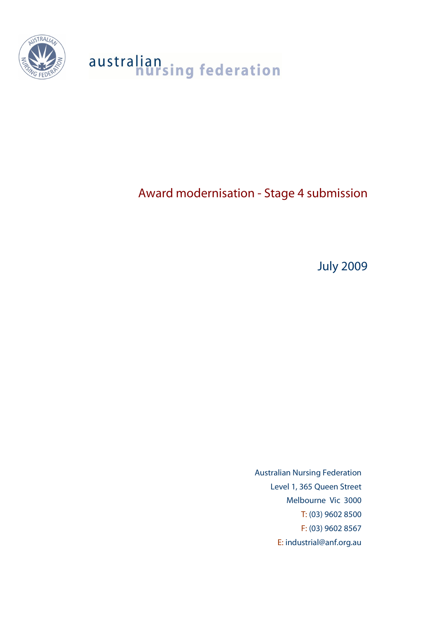

# australian<br>nursing federation

# Award modernisation - Stage 4 submission

July 2009

Australian Nursing Federation Level 1, 365 Queen Street Melbourne Vic 3000 T: (03) 9602 8500 F: (03) 9602 8567 E: industrial@anf.org.au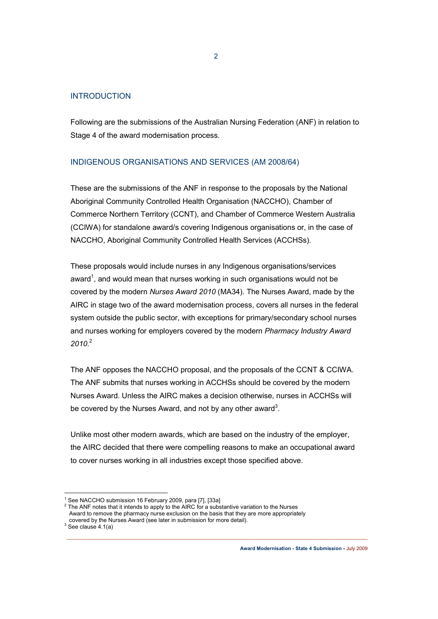#### INTRODUCTION

Following are the submissions of the Australian Nursing Federation (ANF) in relation to Stage 4 of the award modernisation process.

## INDIGENOUS ORGANISATIONS AND SERVICES (AM 2008/64)

These are the submissions of the ANF in response to the proposals by the National Aboriginal Community Controlled Health Organisation (NACCHO), Chamber of Commerce Northern Territory (CCNT), and Chamber of Commerce Western Australia (CCIWA) for standalone award/s covering Indigenous organisations or, in the case of NACCHO, Aboriginal Community Controlled Health Services (ACCHSs).

These proposals would include nurses in any Indigenous organisations/services award<sup>1</sup>, and would mean that nurses working in such organisations would not be covered by the modern *Nurses Award 2010* (MA34). The Nurses Award, made by the AIRC in stage two of the award modernisation process, covers all nurses in the federal system outside the public sector, with exceptions for primary/secondary school nurses and nurses working for employers covered by the modern *Pharmacy Industry Award 2010*. 2

The ANF opposes the NACCHO proposal, and the proposals of the CCNT & CCIWA. The ANF submits that nurses working in ACCHSs should be covered by the modern Nurses Award. Unless the AIRC makes a decision otherwise, nurses in ACCHSs will be covered by the Nurses Award, and not by any other award<sup>3</sup>.

Unlike most other modern awards, which are based on the industry of the employer, the AIRC decided that there were compelling reasons to make an occupational award to cover nurses working in all industries except those specified above.

 $\_$  , and the contribution of the contribution of  $\mathcal{L}_\mathcal{A}$  , and the contribution of  $\mathcal{L}_\mathcal{A}$ 

 $3$  See clause 4.1(a)

<sup>&</sup>lt;sup>1</sup> See NACCHO submission 16 February 2009, para [7], [33a]

 $2$  The ANF notes that it intends to apply to the AIRC for a substantive variation to the Nurses Award to remove the pharmacy nurse exclusion on the basis that they are more appropriately covered by the Nurses Award (see later in submission for more detail).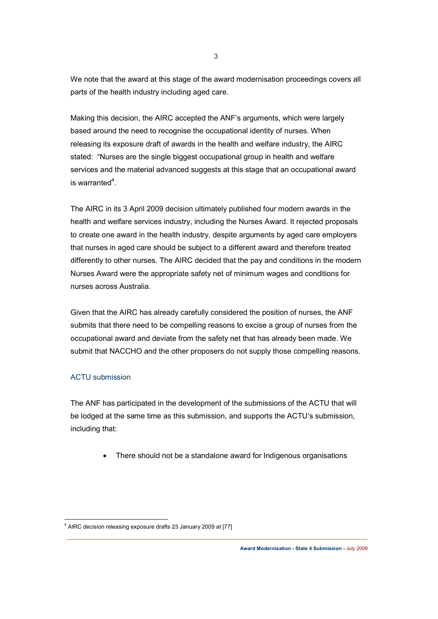We note that the award at this stage of the award modernisation proceedings covers all parts of the health industry including aged care.

Making this decision, the AIRC accepted the ANF's arguments, which were largely based around the need to recognise the occupational identity of nurses. When releasing its exposure draft of awards in the health and welfare industry, the AIRC stated: "Nurses are the single biggest occupational group in health and welfare services and the material advanced suggests at this stage that an occupational award is warranted<sup>4</sup>.

The AIRC in its 3 April 2009 decision ultimately published four modern awards in the health and welfare services industry, including the Nurses Award. It rejected proposals to create one award in the health industry, despite arguments by aged care employers that nurses in aged care should be subject to a different award and therefore treated differently to other nurses. The AIRC decided that the pay and conditions in the modern Nurses Award were the appropriate safety net of minimum wages and conditions for nurses across Australia.

Given that the AIRC has already carefully considered the position of nurses, the ANF submits that there need to be compelling reasons to excise a group of nurses from the occupational award and deviate from the safety net that has already been made. We submit that NACCHO and the other proposers do not supply those compelling reasons.

#### ACTU submission

The ANF has participated in the development of the submissions of the ACTU that will be lodged at the same time as this submission, and supports the ACTU's submission, including that:

• There should not be a standalone award for Indigenous organisations

 $\_$  , and the contribution of the contribution of  $\mathcal{L}_\mathcal{A}$  , and the contribution of  $\mathcal{L}_\mathcal{A}$ 

**Award Modernisation - State 4 Submission -** July 2009

 <sup>4</sup> AIRC decision releasing exposure drafts 23 January 2009 at [77]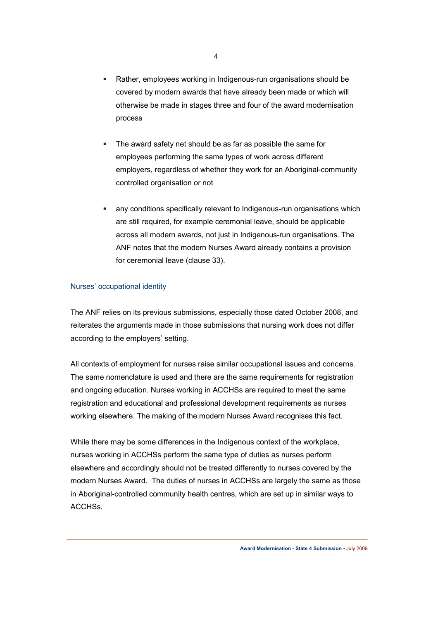- Rather, employees working in Indigenous-run organisations should be covered by modern awards that have already been made or which will otherwise be made in stages three and four of the award modernisation process
- The award safety net should be as far as possible the same for employees performing the same types of work across different employers, regardless of whether they work for an Aboriginal-community controlled organisation or not
- any conditions specifically relevant to Indigenous-run organisations which are still required, for example ceremonial leave, should be applicable across all modern awards, not just in Indigenous-run organisations. The ANF notes that the modern Nurses Award already contains a provision for ceremonial leave (clause 33).

#### Nurses' occupational identity

The ANF relies on its previous submissions, especially those dated October 2008, and reiterates the arguments made in those submissions that nursing work does not differ according to the employers' setting.

All contexts of employment for nurses raise similar occupational issues and concerns. The same nomenclature is used and there are the same requirements for registration and ongoing education. Nurses working in ACCHSs are required to meet the same registration and educational and professional development requirements as nurses working elsewhere. The making of the modern Nurses Award recognises this fact.

While there may be some differences in the Indigenous context of the workplace, nurses working in ACCHSs perform the same type of duties as nurses perform elsewhere and accordingly should not be treated differently to nurses covered by the modern Nurses Award. The duties of nurses in ACCHSs are largely the same as those in Aboriginal-controlled community health centres, which are set up in similar ways to ACCHSs.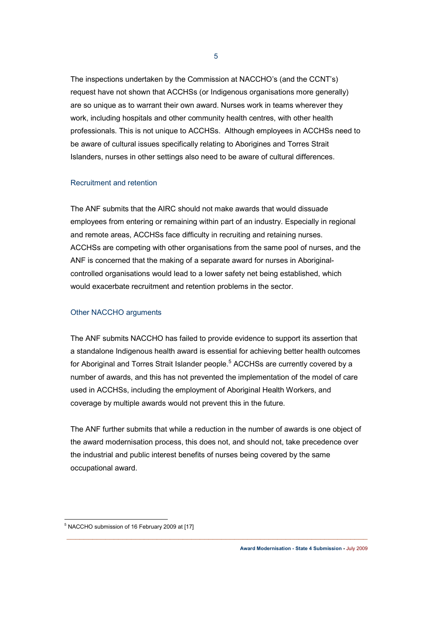The inspections undertaken by the Commission at NACCHO's (and the CCNT's) request have not shown that ACCHSs (or Indigenous organisations more generally) are so unique as to warrant their own award. Nurses work in teams wherever they work, including hospitals and other community health centres, with other health professionals. This is not unique to ACCHSs. Although employees in ACCHSs need to be aware of cultural issues specifically relating to Aborigines and Torres Strait Islanders, nurses in other settings also need to be aware of cultural differences.

5

#### Recruitment and retention

The ANF submits that the AIRC should not make awards that would dissuade employees from entering or remaining within part of an industry. Especially in regional and remote areas, ACCHSs face difficulty in recruiting and retaining nurses. ACCHSs are competing with other organisations from the same pool of nurses, and the ANF is concerned that the making of a separate award for nurses in Aboriginalcontrolled organisations would lead to a lower safety net being established, which would exacerbate recruitment and retention problems in the sector.

#### Other NACCHO arguments

The ANF submits NACCHO has failed to provide evidence to support its assertion that a standalone Indigenous health award is essential for achieving better health outcomes for Aboriginal and Torres Strait Islander people.<sup>5</sup> ACCHSs are currently covered by a number of awards, and this has not prevented the implementation of the model of care used in ACCHSs, including the employment of Aboriginal Health Workers, and coverage by multiple awards would not prevent this in the future.

The ANF further submits that while a reduction in the number of awards is one object of the award modernisation process, this does not, and should not, take precedence over the industrial and public interest benefits of nurses being covered by the same occupational award.

 5 NACCHO submission of 16 February 2009 at [17]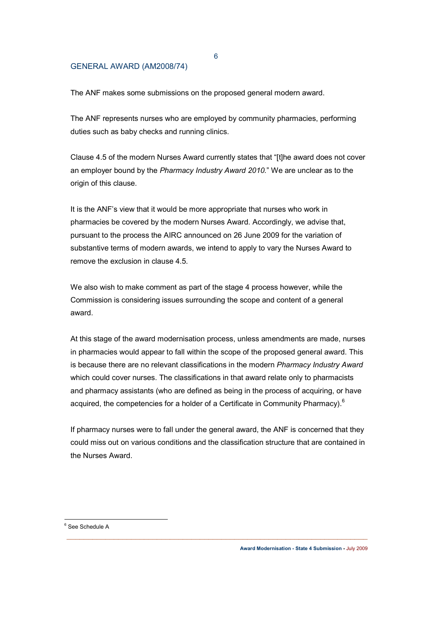#### GENERAL AWARD (AM2008/74)

The ANF makes some submissions on the proposed general modern award.

The ANF represents nurses who are employed by community pharmacies, performing duties such as baby checks and running clinics.

Clause 4.5 of the modern Nurses Award currently states that "[t]he award does not cover an employer bound by the *Pharmacy Industry Award 2010.*" We are unclear as to the origin of this clause.

It is the ANF's view that it would be more appropriate that nurses who work in pharmacies be covered by the modern Nurses Award. Accordingly, we advise that, pursuant to the process the AIRC announced on 26 June 2009 for the variation of substantive terms of modern awards, we intend to apply to vary the Nurses Award to remove the exclusion in clause 4.5.

We also wish to make comment as part of the stage 4 process however, while the Commission is considering issues surrounding the scope and content of a general award.

At this stage of the award modernisation process, unless amendments are made, nurses in pharmacies would appear to fall within the scope of the proposed general award. This is because there are no relevant classifications in the modern *Pharmacy Industry Award* which could cover nurses. The classifications in that award relate only to pharmacists and pharmacy assistants (who are defined as being in the process of acquiring, or have acquired, the competencies for a holder of a Certificate in Community Pharmacy). $<sup>6</sup>$ </sup>

If pharmacy nurses were to fall under the general award, the ANF is concerned that they could miss out on various conditions and the classification structure that are contained in the Nurses Award.

 $\_$  , and the contribution of the contribution of  $\mathcal{L}_\mathcal{A}$  , and the contribution of  $\mathcal{L}_\mathcal{A}$ 

**Award Modernisation - State 4 Submission -** July 2009

6

<sup>6</sup> See Schedule A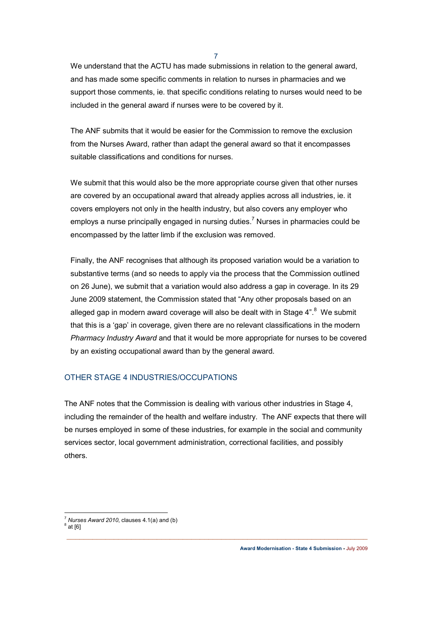7

We understand that the ACTU has made submissions in relation to the general award, and has made some specific comments in relation to nurses in pharmacies and we support those comments, ie. that specific conditions relating to nurses would need to be included in the general award if nurses were to be covered by it.

The ANF submits that it would be easier for the Commission to remove the exclusion from the Nurses Award, rather than adapt the general award so that it encompasses suitable classifications and conditions for nurses.

We submit that this would also be the more appropriate course given that other nurses are covered by an occupational award that already applies across all industries, ie. it covers employers not only in the health industry, but also covers any employer who employs a nurse principally engaged in nursing duties.<sup>7</sup> Nurses in pharmacies could be encompassed by the latter limb if the exclusion was removed.

Finally, the ANF recognises that although its proposed variation would be a variation to substantive terms (and so needs to apply via the process that the Commission outlined on 26 June), we submit that a variation would also address a gap in coverage. In its 29 June 2009 statement, the Commission stated that "Any other proposals based on an alleged gap in modern award coverage will also be dealt with in Stage 4".<sup>8</sup> We submit that this is a 'gap' in coverage, given there are no relevant classifications in the modern *Pharmacy Industry Award* and that it would be more appropriate for nurses to be covered by an existing occupational award than by the general award.

## OTHER STAGE 4 INDUSTRIES/OCCUPATIONS

The ANF notes that the Commission is dealing with various other industries in Stage 4, including the remainder of the health and welfare industry. The ANF expects that there will be nurses employed in some of these industries, for example in the social and community services sector, local government administration, correctional facilities, and possibly others.

  $<sup>7</sup>$  *Nurses Award 2010*, clauses 4.1(a) and (b)</sup>  $^8$  at [6]